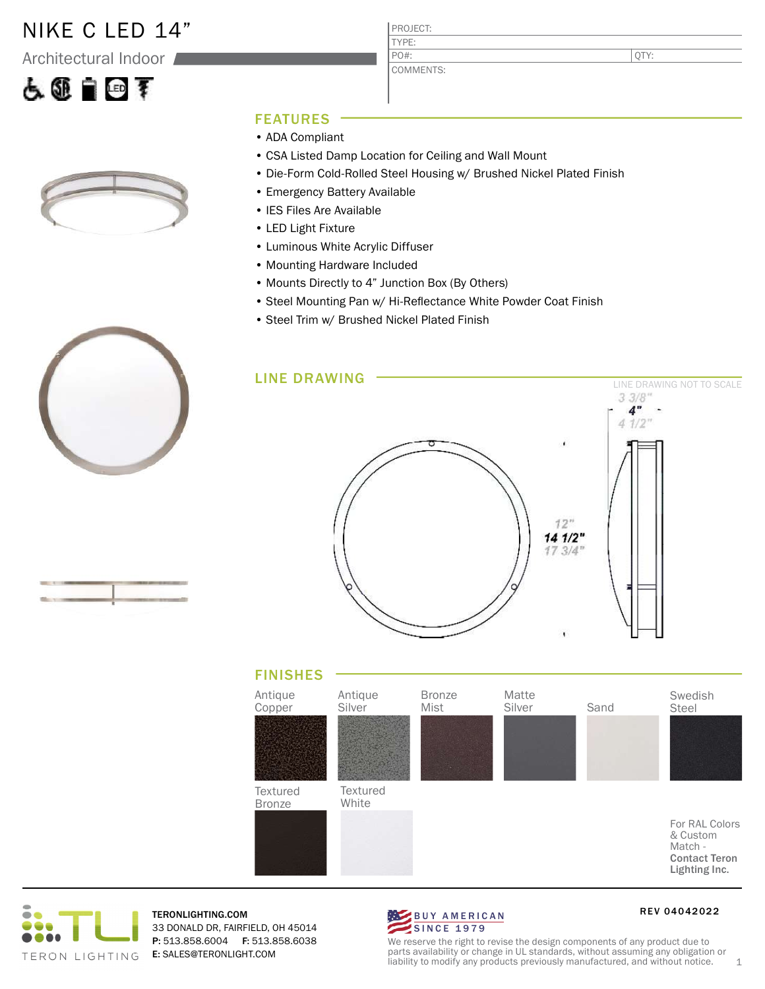### NIKE C LED 14"

Architectural Indoor

# 人工自由手



QTY:

#### FEATURES

- ADA Compliant
- CSA Listed Damp Location for Ceiling and Wall Mount
- Die-Form Cold-Rolled Steel Housing w/ Brushed Nickel Plated Finish
- Emergency Battery Available
- IES Files Are Available
- LED Light Fixture
- Luminous White Acrylic Diffuser
- Mounting Hardware Included
- Mounts Directly to 4" Junction Box (By Others)
- Steel Mounting Pan w/ Hi-Reflectance White Powder Coat Finish
- Steel Trim w/ Brushed Nickel Plated Finish









TERONLIGHTING.COM 33 DONALD DR, FAIRFIELD, OH 45014 P: 513.858.6004 F: 513.858.6038 E: SALES@TERONLIGHT.COM



RE V 04042022

We reserve the right to revise the design components of any product due to parts availability or change in UL standards, without assuming any obligation or liability to modify any products previously manufactured, and without notice. 1